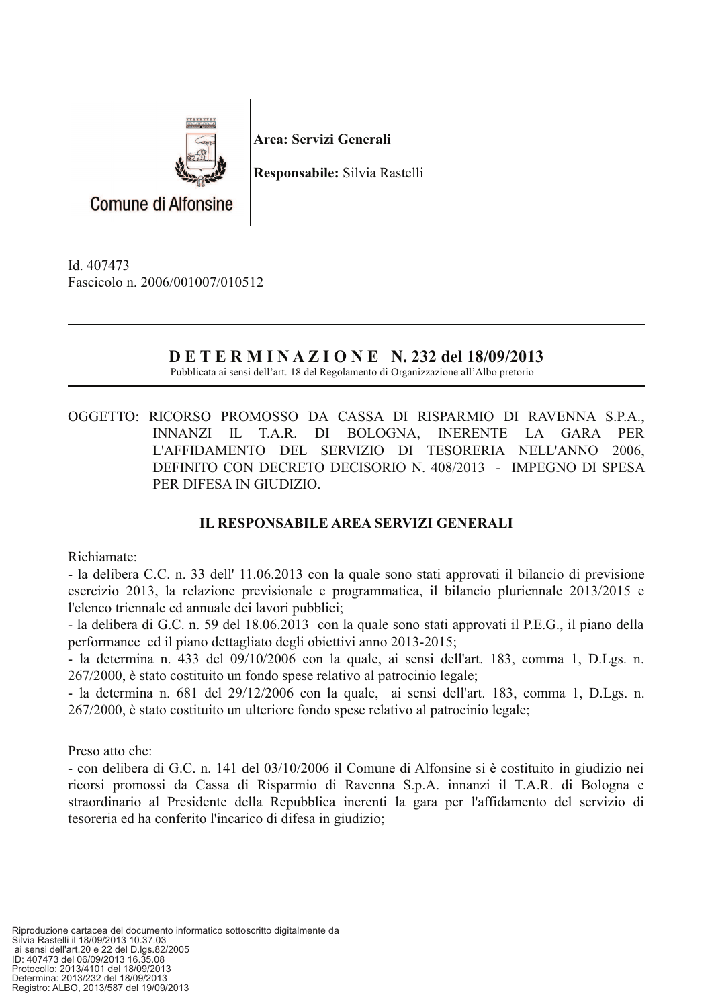

Area: Servizi Generali

Responsabile: Silvia Rastelli

**Comune di Alfonsine** 

Id. 407473 Fascicolo n. 2006/001007/010512

## **DETERMINAZIONE N. 232 del 18/09/2013**

Pubblicata ai sensi dell'art. 18 del Regolamento di Organizzazione all'Albo pretorio

OGGETTO: RICORSO PROMOSSO DA CASSA DI RISPARMIO DI RAVENNA S.P.A., INNANZI IL T.A.R. DI BOLOGNA, **INERENTE**  $LA$ GARA **PER** L'AFFIDAMENTO DEL SERVIZIO DI TESORERIA NELL'ANNO 2006, DEFINITO CON DECRETO DECISORIO N. 408/2013 - IMPEGNO DI SPESA PER DIFESA IN GIUDIZIO.

## **IL RESPONSABILE AREA SERVIZI GENERALI**

Richiamate:

- la delibera C.C. n. 33 dell' 11.06.2013 con la quale sono stati approvati il bilancio di previsione esercizio 2013, la relazione previsionale e programmatica, il bilancio pluriennale 2013/2015 e l'elenco triennale ed annuale dei lavori pubblici;

- la delibera di G.C. n. 59 del 18.06.2013 con la quale sono stati approvati il P.E.G., il piano della performance ed il piano dettagliato degli obiettivi anno 2013-2015;

- la determina n. 433 del 09/10/2006 con la quale, ai sensi dell'art. 183, comma 1, D.Lgs. n. 267/2000, è stato costituito un fondo spese relativo al patrocinio legale;

- la determina n. 681 del 29/12/2006 con la quale, ai sensi dell'art. 183, comma 1, D.Lgs. n. 267/2000, è stato costituito un ulteriore fondo spese relativo al patrocinio legale;

Preso atto che:

- con delibera di G.C. n. 141 del 03/10/2006 il Comune di Alfonsine si è costituito in giudizio nei ricorsi promossi da Cassa di Risparmio di Ravenna S.p.A. innanzi il T.A.R. di Bologna e straordinario al Presidente della Repubblica inerenti la gara per l'affidamento del servizio di tesoreria ed ha conferito l'incarico di difesa in giudizio;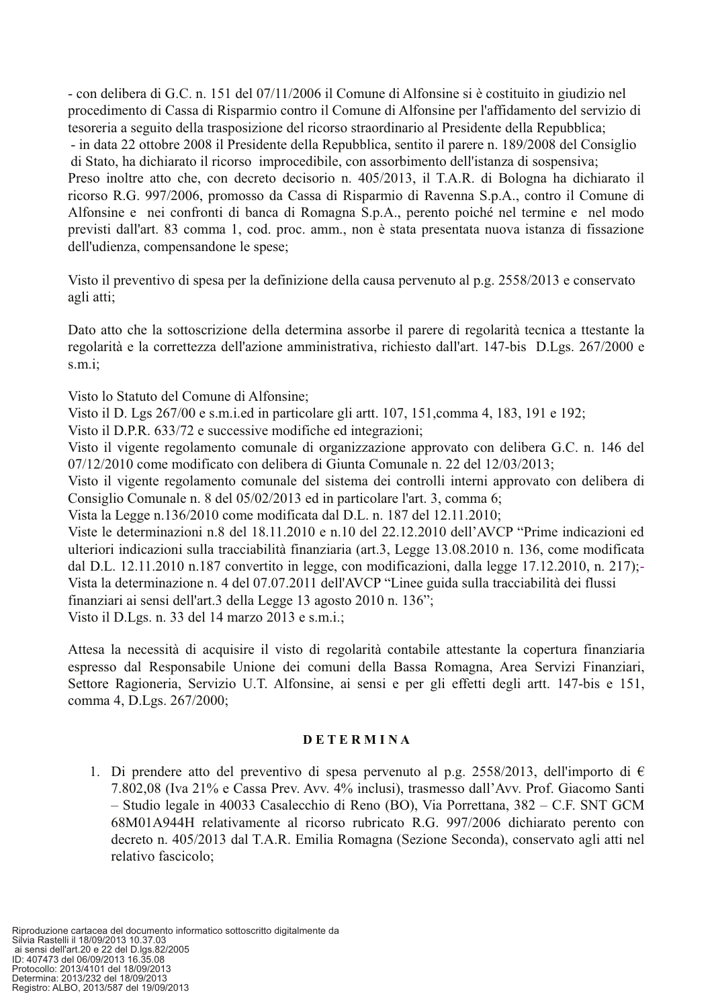- con delibera di G.C. n. 151 del 07/11/2006 il Comune di Alfonsine si è costituito in giudizio nel procedimento di Cassa di Risparmio contro il Comune di Alfonsine per l'affidamento del servizio di tesoreria a seguito della trasposizione del ricorso straordinario al Presidente della Repubblica; - in data 22 ottobre 2008 il Presidente della Repubblica, sentito il parere n. 189/2008 del Consiglio di Stato, ha dichiarato il ricorso improcedibile, con assorbimento dell'istanza di sospensiva; Preso inoltre atto che, con decreto decisorio n. 405/2013, il T.A.R. di Bologna ha dichiarato il ricorso R.G. 997/2006, promosso da Cassa di Risparmio di Ravenna S.p.A., contro il Comune di Alfonsine e nei confronti di banca di Romagna S.p.A., perento poiché nel termine e nel modo previsti dall'art. 83 comma 1, cod. proc. amm., non è stata presentata nuova istanza di fissazione dell'udienza, compensandone le spese;

Visto il preventivo di spesa per la definizione della causa pervenuto al p.g. 2558/2013 e conservato agli atti:

Dato atto che la sottoscrizione della determina assorbe il parere di regolarità tecnica a ttestante la regolarità e la correttezza dell'azione amministrativa, richiesto dall'art. 147-bis D.Lgs. 267/2000 e  $s.m.i;$ 

Visto lo Statuto del Comune di Alfonsine:

Visto il D. Lgs 267/00 e s.m.i.ed in particolare gli artt. 107, 151.comma 4, 183, 191 e 192;

Visto il D.P.R. 633/72 e successive modifiche ed integrazioni;

Visto il vigente regolamento comunale di organizzazione approvato con delibera G.C. n. 146 del 07/12/2010 come modificato con delibera di Giunta Comunale n. 22 del 12/03/2013;

Visto il vigente regolamento comunale del sistema dei controlli interni approvato con delibera di Consiglio Comunale n. 8 del 05/02/2013 ed in particolare l'art. 3, comma 6;

Vista la Legge n.136/2010 come modificata dal D.L. n. 187 del 12.11.2010;

Viste le determinazioni n.8 del 18.11.2010 e n.10 del 22.12.2010 dell'AVCP "Prime indicazioni ed ulteriori indicazioni sulla tracciabilità finanziaria (art.3, Legge 13.08.2010 n. 136, come modificata dal D.L. 12.11.2010 n.187 convertito in legge, con modificazioni, dalla legge 17.12.2010, n. 217); Vista la determinazione n. 4 del 07.07.2011 dell'AVCP "Linee guida sulla tracciabilità dei flussi finanziari ai sensi dell'art.3 della Legge 13 agosto 2010 n. 136";

Visto il D.Lgs. n. 33 del 14 marzo 2013 e s.m.i.;

Attesa la necessità di acquisire il visto di regolarità contabile attestante la copertura finanziaria espresso dal Responsabile Unione dei comuni della Bassa Romagna, Area Servizi Finanziari, Settore Ragioneria, Servizio U.T. Alfonsine, ai sensi e per gli effetti degli artt. 147-bis e 151, comma 4, D.Lgs. 267/2000;

## **DETERMINA**

1. Di prendere atto del preventivo di spesa pervenuto al p.g. 2558/2013, dell'importo di  $\epsilon$ 7.802,08 (Iva 21% e Cassa Prev. Avv. 4% inclusi), trasmesso dall'Avv. Prof. Giacomo Santi - Studio legale in 40033 Casalecchio di Reno (BO), Via Porrettana, 382 – C.F. SNT GCM 68M01A944H relativamente al ricorso rubricato R.G. 997/2006 dichiarato perento con decreto n. 405/2013 dal T.A.R. Emilia Romagna (Sezione Seconda), conservato agli atti nel relativo fascicolo;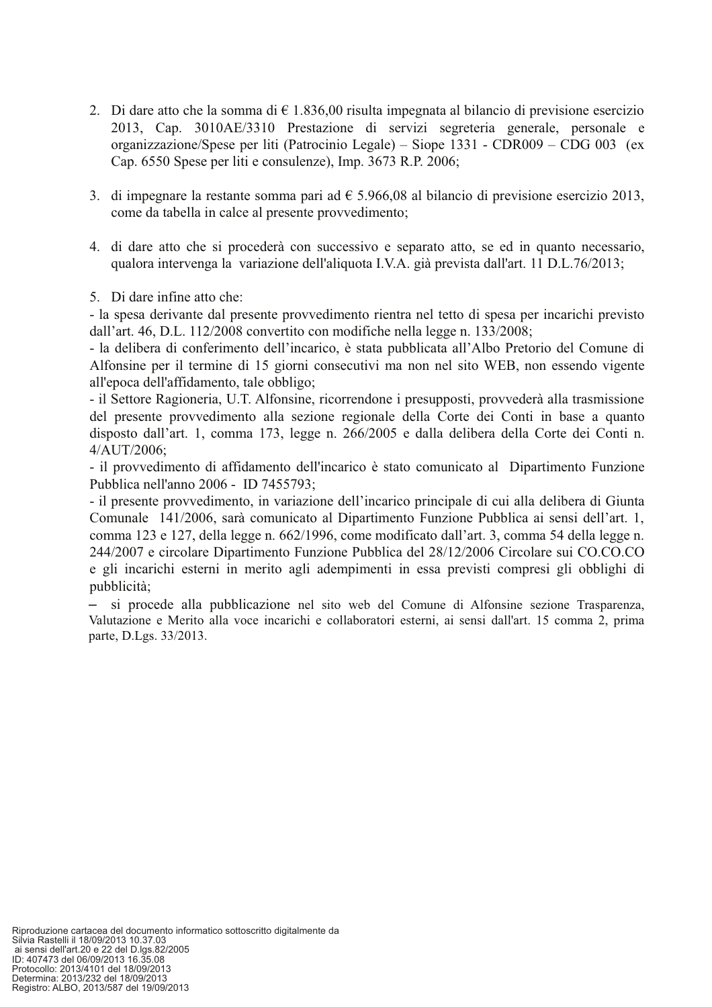- 2. Di dare atto che la somma di  $\epsilon$  1.836,00 risulta impegnata al bilancio di previsione esercizio 2013, Cap. 3010AE/3310 Prestazione di servizi segreteria generale, personale e organizzazione/Spese per liti (Patrocinio Legale) – Siope 1331 - CDR009 – CDG 003 (ex Cap. 6550 Spese per liti e consulenze), Imp. 3673 R.P. 2006;
- 3. di impegnare la restante somma pari ad  $\epsilon$  5.966,08 al bilancio di previsione esercizio 2013, come da tabella in calce al presente provvedimento;
- 4. di dare atto che si procederà con successivo e separato atto, se ed in quanto necessario, qualora intervenga la variazione dell'aliquota I.V.A. già prevista dall'art. 11 D.L.76/2013;
- 5. Di dare infine atto che:

- la spesa derivante dal presente provvedimento rientra nel tetto di spesa per incarichi previsto dall'art. 46, D.L. 112/2008 convertito con modifiche nella legge n. 133/2008;

- la delibera di conferimento dell'incarico, è stata pubblicata all'Albo Pretorio del Comune di Alfonsine per il termine di 15 giorni consecutivi ma non nel sito WEB, non essendo vigente all'epoca dell'affidamento, tale obbligo;

- il Settore Ragioneria, U.T. Alfonsine, ricorrendone i presupposti, provvederà alla trasmissione del presente provvedimento alla sezione regionale della Corte dei Conti in base a quanto disposto dall'art. 1, comma 173, legge n. 266/2005 e dalla delibera della Corte dei Conti n. 4/AUT/2006:

- il provvedimento di affidamento dell'incarico è stato comunicato al Dipartimento Funzione Pubblica nell'anno 2006 - ID 7455793;

- il presente provvedimento, in variazione dell'incarico principale di cui alla delibera di Giunta Comunale 141/2006, sarà comunicato al Dipartimento Funzione Pubblica ai sensi dell'art. 1, comma 123 e 127, della legge n. 662/1996, come modificato dall'art. 3, comma 54 della legge n. 244/2007 e circolare Dipartimento Funzione Pubblica del 28/12/2006 Circolare sui CO.CO.CO e gli incarichi esterni in merito agli adempimenti in essa previsti compresi gli obblighi di pubblicità;

- si procede alla pubblicazione nel sito web del Comune di Alfonsine sezione Trasparenza, Valutazione e Merito alla voce incarichi e collaboratori esterni, ai sensi dall'art. 15 comma 2, prima parte, D.Lgs. 33/2013.